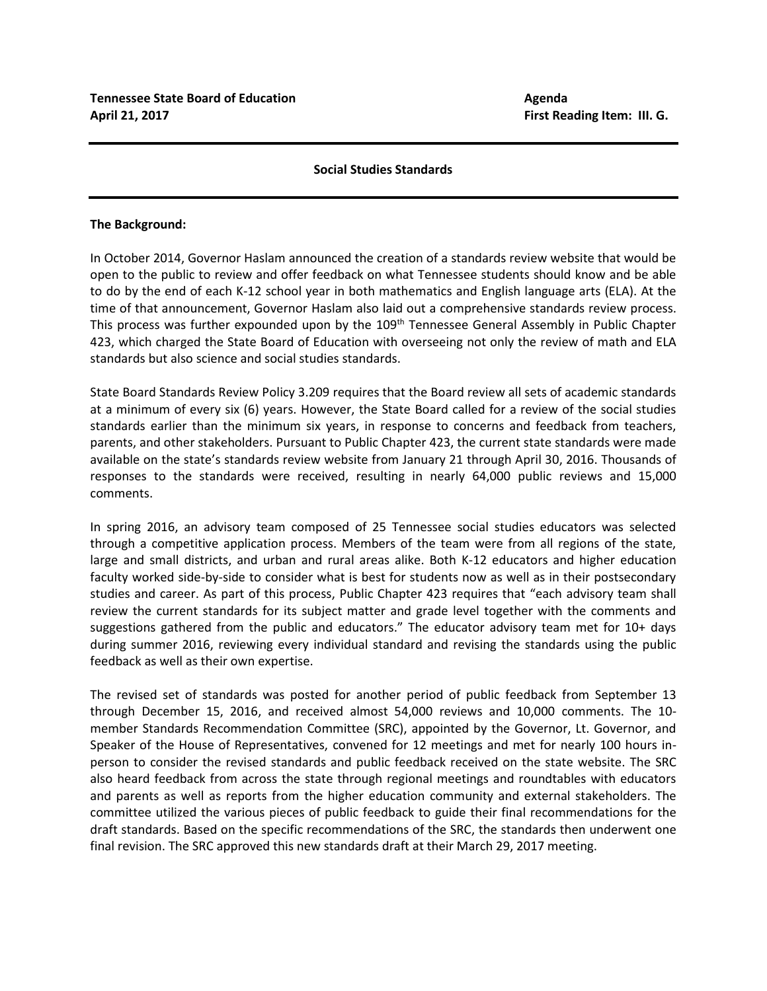## **Social Studies Standards**

## **The Background:**

In October 2014, Governor Haslam announced the creation of a standards review website that would be open to the public to review and offer feedback on what Tennessee students should know and be able to do by the end of each K-12 school year in both mathematics and English language arts (ELA). At the time of that announcement, Governor Haslam also laid out a comprehensive standards review process. This process was further expounded upon by the 109<sup>th</sup> Tennessee General Assembly in Public Chapter 423, which charged the State Board of Education with overseeing not only the review of math and ELA standards but also science and social studies standards.

State Board Standards Review Policy 3.209 requires that the Board review all sets of academic standards at a minimum of every six (6) years. However, the State Board called for a review of the social studies standards earlier than the minimum six years, in response to concerns and feedback from teachers, parents, and other stakeholders. Pursuant to Public Chapter 423, the current state standards were made available on the state's standards review website from January 21 through April 30, 2016. Thousands of responses to the standards were received, resulting in nearly 64,000 public reviews and 15,000 comments.

In spring 2016, an advisory team composed of 25 Tennessee social studies educators was selected through a competitive application process. Members of the team were from all regions of the state, large and small districts, and urban and rural areas alike. Both K-12 educators and higher education faculty worked side-by-side to consider what is best for students now as well as in their postsecondary studies and career. As part of this process, Public Chapter 423 requires that "each advisory team shall review the current standards for its subject matter and grade level together with the comments and suggestions gathered from the public and educators." The educator advisory team met for 10+ days during summer 2016, reviewing every individual standard and revising the standards using the public feedback as well as their own expertise.

The revised set of standards was posted for another period of public feedback from September 13 through December 15, 2016, and received almost 54,000 reviews and 10,000 comments. The 10 member Standards Recommendation Committee (SRC), appointed by the Governor, Lt. Governor, and Speaker of the House of Representatives, convened for 12 meetings and met for nearly 100 hours inperson to consider the revised standards and public feedback received on the state website. The SRC also heard feedback from across the state through regional meetings and roundtables with educators and parents as well as reports from the higher education community and external stakeholders. The committee utilized the various pieces of public feedback to guide their final recommendations for the draft standards. Based on the specific recommendations of the SRC, the standards then underwent one final revision. The SRC approved this new standards draft at their March 29, 2017 meeting.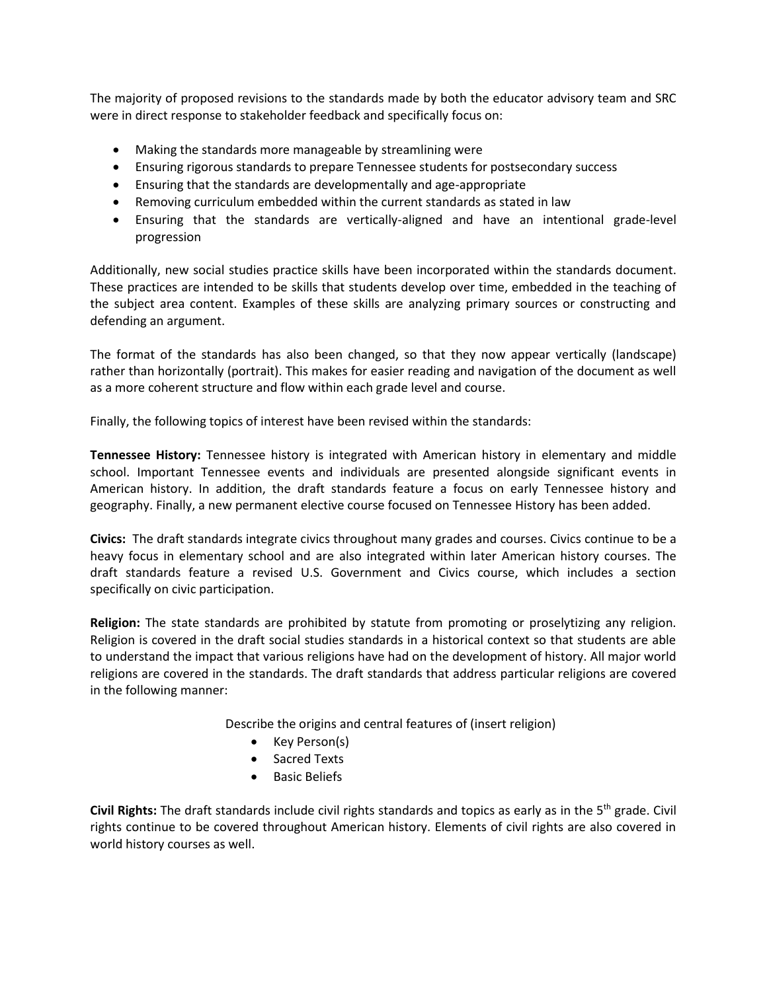The majority of proposed revisions to the standards made by both the educator advisory team and SRC were in direct response to stakeholder feedback and specifically focus on:

- Making the standards more manageable by streamlining were
- Ensuring rigorous standards to prepare Tennessee students for postsecondary success
- Ensuring that the standards are developmentally and age-appropriate
- Removing curriculum embedded within the current standards as stated in law
- Ensuring that the standards are vertically-aligned and have an intentional grade-level progression

Additionally, new social studies practice skills have been incorporated within the standards document. These practices are intended to be skills that students develop over time, embedded in the teaching of the subject area content. Examples of these skills are analyzing primary sources or constructing and defending an argument.

The format of the standards has also been changed, so that they now appear vertically (landscape) rather than horizontally (portrait). This makes for easier reading and navigation of the document as well as a more coherent structure and flow within each grade level and course.

Finally, the following topics of interest have been revised within the standards:

**Tennessee History:** Tennessee history is integrated with American history in elementary and middle school. Important Tennessee events and individuals are presented alongside significant events in American history. In addition, the draft standards feature a focus on early Tennessee history and geography. Finally, a new permanent elective course focused on Tennessee History has been added.

**Civics:** The draft standards integrate civics throughout many grades and courses. Civics continue to be a heavy focus in elementary school and are also integrated within later American history courses. The draft standards feature a revised U.S. Government and Civics course, which includes a section specifically on civic participation.

**Religion:** The state standards are prohibited by statute from promoting or proselytizing any religion. Religion is covered in the draft social studies standards in a historical context so that students are able to understand the impact that various religions have had on the development of history. All major world religions are covered in the standards. The draft standards that address particular religions are covered in the following manner:

Describe the origins and central features of (insert religion)

- Key Person(s)
- Sacred Texts
- **•** Basic Beliefs

Civil Rights: The draft standards include civil rights standards and topics as early as in the 5<sup>th</sup> grade. Civil rights continue to be covered throughout American history. Elements of civil rights are also covered in world history courses as well.